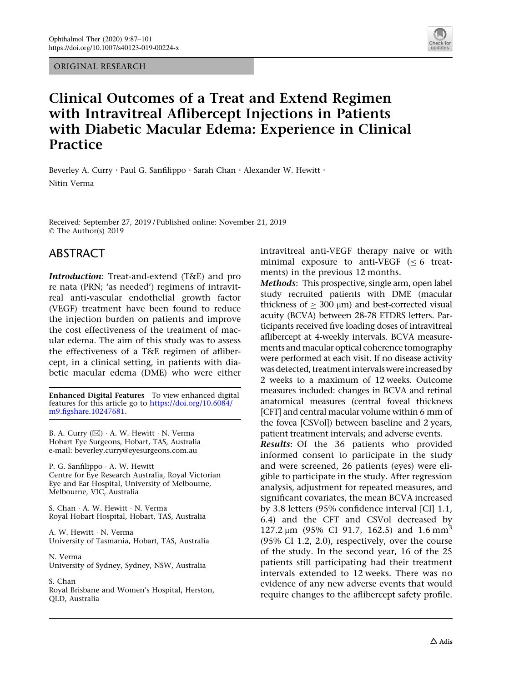ORIGINAL RESEARCH



# Clinical Outcomes of a Treat and Extend Regimen with Intravitreal Aflibercept Injections in Patients with Diabetic Macular Edema: Experience in Clinical **Practice**

Beverley A. Curry · Paul G. Sanfilippo · Sarah Chan · Alexander W. Hewitt · Nitin Verma

Received: September 27, 2019 / Published online: November 21, 2019 © The Author(s) 2019

### ABSTRACT

Introduction: Treat-and-extend (T&E) and pro re nata (PRN; 'as needed') regimens of intravitreal anti-vascular endothelial growth factor (VEGF) treatment have been found to reduce the injection burden on patients and improve the cost effectiveness of the treatment of macular edema. The aim of this study was to assess the effectiveness of a T&E regimen of aflibercept, in a clinical setting, in patients with diabetic macular edema (DME) who were either

Enhanced Digital Features To view enhanced digital features for this article go to [https://doi.org/10.6084/](https://doi.org/10.6084/m9.figshare.10247681) [m9.figshare.10247681.](https://doi.org/10.6084/m9.figshare.10247681)

B. A. Curry (⊠) · A. W. Hewitt · N. Verma Hobart Eye Surgeons, Hobart, TAS, Australia e-mail: beverley.curry@eyesurgeons.com.au

P. G. Sanfilippo - A. W. Hewitt Centre for Eye Research Australia, Royal Victorian Eye and Ear Hospital, University of Melbourne, Melbourne, VIC, Australia

S. Chan - A. W. Hewitt - N. Verma Royal Hobart Hospital, Hobart, TAS, Australia

A. W. Hewitt - N. Verma University of Tasmania, Hobart, TAS, Australia

N. Verma University of Sydney, Sydney, NSW, Australia

S. Chan Royal Brisbane and Women's Hospital, Herston, QLD, Australia

intravitreal anti-VEGF therapy naive or with minimal exposure to anti-VEGF  $(\leq 6$  treatments) in the previous 12 months.

Methods: This prospective, single arm, open label study recruited patients with DME (macular thickness of  $\geq 300 \text{ }\mu\text{m}$ ) and best-corrected visual acuity (BCVA) between 28-78 ETDRS letters. Participants received five loading doses of intravitreal aflibercept at 4-weekly intervals. BCVA measurements and macular optical coherence tomography were performed at each visit. If no disease activity was detected, treatment intervals were increased by 2 weeks to a maximum of 12 weeks. Outcome measures included: changes in BCVA and retinal anatomical measures (central foveal thickness [CFT] and central macular volume within 6 mm of the fovea [CSVol]) between baseline and 2 years, patient treatment intervals; and adverse events.

Results: Of the 36 patients who provided informed consent to participate in the study and were screened, 26 patients (eyes) were eligible to participate in the study. After regression analysis, adjustment for repeated measures, and significant covariates, the mean BCVA increased by 3.8 letters (95% confidence interval [CI] 1.1, 6.4) and the CFT and CSVol decreased by 127.2  $\mu$ m (95% CI 91.7, 162.5) and 1.6 mm<sup>3</sup> (95% CI 1.2, 2.0), respectively, over the course of the study. In the second year, 16 of the 25 patients still participating had their treatment intervals extended to 12 weeks. There was no evidence of any new adverse events that would require changes to the aflibercept safety profile.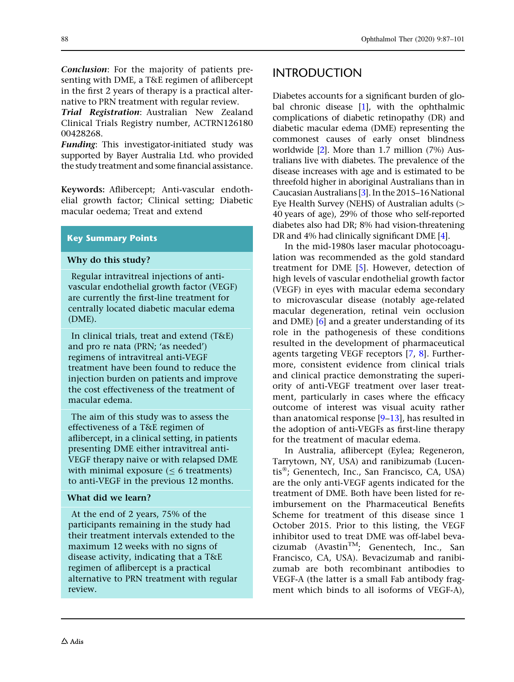Conclusion: For the majority of patients presenting with DME, a T&E regimen of aflibercept in the first 2 years of therapy is a practical alternative to PRN treatment with regular review.

Trial Registration: Australian New Zealand Clinical Trials Registry number, ACTRN126180 00428268.

Funding: This investigator-initiated study was supported by Bayer Australia Ltd. who provided the study treatment and some financial assistance.

Keywords: Aflibercept; Anti-vascular endothelial growth factor; Clinical setting; Diabetic macular oedema; Treat and extend

### Key Summary Points

#### Why do this study?

Regular intravitreal injections of antivascular endothelial growth factor (VEGF) are currently the first-line treatment for centrally located diabetic macular edema (DME).

In clinical trials, treat and extend (T&E) and pro re nata (PRN; 'as needed') regimens of intravitreal anti-VEGF treatment have been found to reduce the injection burden on patients and improve the cost effectiveness of the treatment of macular edema.

The aim of this study was to assess the effectiveness of a T&E regimen of aflibercept, in a clinical setting, in patients presenting DME either intravitreal anti-VEGF therapy naive or with relapsed DME with minimal exposure  $( \leq 6$  treatments) to anti-VEGF in the previous 12 months.

### What did we learn?

At the end of 2 years, 75% of the participants remaining in the study had their treatment intervals extended to the maximum 12 weeks with no signs of disease activity, indicating that a T&E regimen of aflibercept is a practical alternative to PRN treatment with regular review.

# **INTRODUCTION**

Diabetes accounts for a significant burden of global chronic disease  $[1]$  $[1]$  $[1]$ , with the ophthalmic complications of diabetic retinopathy (DR) and diabetic macular edema (DME) representing the commonest causes of early onset blindness worldwide [[2](#page-12-0)]. More than 1.7 million (7%) Australians live with diabetes. The prevalence of the disease increases with age and is estimated to be threefold higher in aboriginal Australians than in Caucasian Australians [\[3](#page-13-0)]. In the 2015–16 National Eye Health Survey (NEHS) of Australian adults  $($ 40 years of age), 29% of those who self-reported diabetes also had DR; 8% had vision-threatening DR and 4% had clinically significant DME [\[4\]](#page-13-0).

In the mid-1980s laser macular photocoagulation was recommended as the gold standard treatment for DME [[5](#page-13-0)]. However, detection of high levels of vascular endothelial growth factor (VEGF) in eyes with macular edema secondary to microvascular disease (notably age-related macular degeneration, retinal vein occlusion and DME) [\[6](#page-13-0)] and a greater understanding of its role in the pathogenesis of these conditions resulted in the development of pharmaceutical agents targeting VEGF receptors [\[7](#page-13-0), [8](#page-13-0)]. Furthermore, consistent evidence from clinical trials and clinical practice demonstrating the superiority of anti-VEGF treatment over laser treatment, particularly in cases where the efficacy outcome of interest was visual acuity rather than anatomical response [[9–13](#page-13-0)], has resulted in the adoption of anti-VEGFs as first-line therapy for the treatment of macular edema.

In Australia, aflibercept (Eylea; Regeneron, Tarrytown, NY, USA) and ranibizumab (Lucentis<sup>®</sup>; Genentech, Inc., San Francisco, CA, USA) are the only anti-VEGF agents indicated for the treatment of DME. Both have been listed for reimbursement on the Pharmaceutical Benefits Scheme for treatment of this disease since 1 October 2015. Prior to this listing, the VEGF inhibitor used to treat DME was off-label bevacizumab (Avastin<sup>TM</sup>; Genentech, Inc., San Francisco, CA, USA). Bevacizumab and ranibizumab are both recombinant antibodies to VEGF-A (the latter is a small Fab antibody fragment which binds to all isoforms of VEGF-A),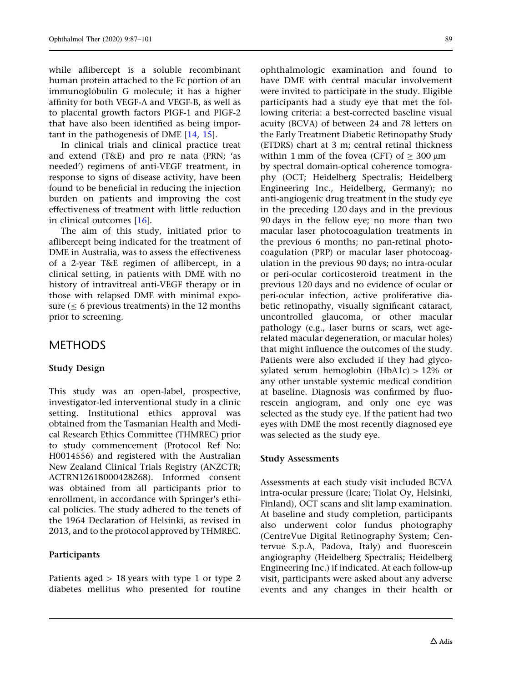while aflibercept is a soluble recombinant human protein attached to the Fc portion of an immunoglobulin G molecule; it has a higher affinity for both VEGF-A and VEGF-B, as well as to placental growth factors PIGF-1 and PIGF-2 that have also been identified as being important in the pathogenesis of DME [[14](#page-13-0), [15](#page-13-0)].

In clinical trials and clinical practice treat and extend (T&E) and pro re nata (PRN; 'as needed') regimens of anti-VEGF treatment, in response to signs of disease activity, have been found to be beneficial in reducing the injection burden on patients and improving the cost effectiveness of treatment with little reduction in clinical outcomes [[16](#page-13-0)].

The aim of this study, initiated prior to aflibercept being indicated for the treatment of DME in Australia, was to assess the effectiveness of a 2-year T&E regimen of aflibercept, in a clinical setting, in patients with DME with no history of intravitreal anti-VEGF therapy or in those with relapsed DME with minimal exposure ( $\leq$  6 previous treatments) in the 12 months prior to screening.

# METHODS

### Study Design

This study was an open-label, prospective, investigator-led interventional study in a clinic setting. Institutional ethics approval was obtained from the Tasmanian Health and Medical Research Ethics Committee (THMREC) prior to study commencement (Protocol Ref No: H0014556) and registered with the Australian New Zealand Clinical Trials Registry (ANZCTR; ACTRN12618000428268). Informed consent was obtained from all participants prior to enrollment, in accordance with Springer's ethical policies. The study adhered to the tenets of the 1964 Declaration of Helsinki, as revised in 2013, and to the protocol approved by THMREC.

### Participants

Patients aged  $> 18$  years with type 1 or type 2 diabetes mellitus who presented for routine ophthalmologic examination and found to have DME with central macular involvement were invited to participate in the study. Eligible participants had a study eye that met the following criteria: a best-corrected baseline visual acuity (BCVA) of between 24 and 78 letters on the Early Treatment Diabetic Retinopathy Study (ETDRS) chart at 3 m; central retinal thickness within 1 mm of the fovea (CFT) of  $>$  300  $\mu$ m by spectral domain-optical coherence tomography (OCT; Heidelberg Spectralis; Heidelberg Engineering Inc., Heidelberg, Germany); no anti-angiogenic drug treatment in the study eye in the preceding 120 days and in the previous 90 days in the fellow eye; no more than two macular laser photocoagulation treatments in the previous 6 months; no pan-retinal photocoagulation (PRP) or macular laser photocoagulation in the previous 90 days; no intra-ocular or peri-ocular corticosteroid treatment in the previous 120 days and no evidence of ocular or peri-ocular infection, active proliferative diabetic retinopathy, visually significant cataract, uncontrolled glaucoma, or other macular pathology (e.g., laser burns or scars, wet agerelated macular degeneration, or macular holes) that might influence the outcomes of the study. Patients were also excluded if they had glycosylated serum hemoglobin (HbA1c)  $> 12\%$  or any other unstable systemic medical condition at baseline. Diagnosis was confirmed by fluorescein angiogram, and only one eye was selected as the study eye. If the patient had two eyes with DME the most recently diagnosed eye was selected as the study eye.

### Study Assessments

Assessments at each study visit included BCVA intra-ocular pressure (Icare; Tiolat Oy, Helsinki, Finland), OCT scans and slit lamp examination. At baseline and study completion, participants also underwent color fundus photography (CentreVue Digital Retinography System; Centervue S.p.A, Padova, Italy) and fluorescein angiography (Heidelberg Spectralis; Heidelberg Engineering Inc.) if indicated. At each follow-up visit, participants were asked about any adverse events and any changes in their health or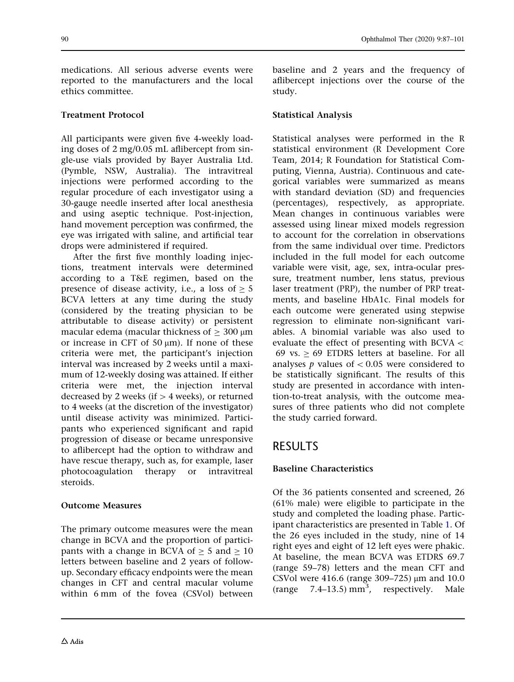medications. All serious adverse events were reported to the manufacturers and the local ethics committee.

### Treatment Protocol

All participants were given five 4-weekly loading doses of 2 mg/0.05 mL aflibercept from single-use vials provided by Bayer Australia Ltd. (Pymble, NSW, Australia). The intravitreal injections were performed according to the regular procedure of each investigator using a 30-gauge needle inserted after local anesthesia and using aseptic technique. Post-injection, hand movement perception was confirmed, the eye was irrigated with saline, and artificial tear drops were administered if required.

After the first five monthly loading injections, treatment intervals were determined according to a T&E regimen, based on the presence of disease activity, i.e., a loss of  $> 5$ BCVA letters at any time during the study (considered by the treating physician to be attributable to disease activity) or persistent macular edema (macular thickness of  $>$  300  $\mu$ m or increase in CFT of 50  $\mu$ m). If none of these criteria were met, the participant's injection interval was increased by 2 weeks until a maximum of 12-weekly dosing was attained. If either criteria were met, the injection interval decreased by 2 weeks (if  $>$  4 weeks), or returned to 4 weeks (at the discretion of the investigator) until disease activity was minimized. Participants who experienced significant and rapid progression of disease or became unresponsive to aflibercept had the option to withdraw and have rescue therapy, such as, for example, laser photocoagulation therapy or intravitreal steroids.

### Outcome Measures

The primary outcome measures were the mean change in BCVA and the proportion of participants with a change in BCVA of  $> 5$  and  $> 10$ letters between baseline and 2 years of followup. Secondary efficacy endpoints were the mean changes in CFT and central macular volume within 6 mm of the fovea (CSVol) between

baseline and 2 years and the frequency of aflibercept injections over the course of the study.

### Statistical Analysis

Statistical analyses were performed in the R statistical environment (R Development Core Team, 2014; R Foundation for Statistical Computing, Vienna, Austria). Continuous and categorical variables were summarized as means with standard deviation (SD) and frequencies (percentages), respectively, as appropriate. Mean changes in continuous variables were assessed using linear mixed models regression to account for the correlation in observations from the same individual over time. Predictors included in the full model for each outcome variable were visit, age, sex, intra-ocular pressure, treatment number, lens status, previous laser treatment (PRP), the number of PRP treatments, and baseline HbA1c. Final models for each outcome were generated using stepwise regression to eliminate non-significant variables. A binomial variable was also used to evaluate the effect of presenting with  $BCVA <$ 69 vs.  $> 69$  ETDRS letters at baseline. For all analyses  $p$  values of  $\lt$  0.05 were considered to be statistically significant. The results of this study are presented in accordance with intention-to-treat analysis, with the outcome measures of three patients who did not complete the study carried forward.

# RESULTS

### Baseline Characteristics

Of the 36 patients consented and screened, 26 (61% male) were eligible to participate in the study and completed the loading phase. Participant characteristics are presented in Table [1.](#page-4-0) Of the 26 eyes included in the study, nine of 14 right eyes and eight of 12 left eyes were phakic. At baseline, the mean BCVA was ETDRS 69.7 (range 59–78) letters and the mean CFT and CSVol were 416.6 (range 309–725)  $\mu$ m and 10.0 (range  $7.4-13.5$ )  $mm^3$ , respectively. Male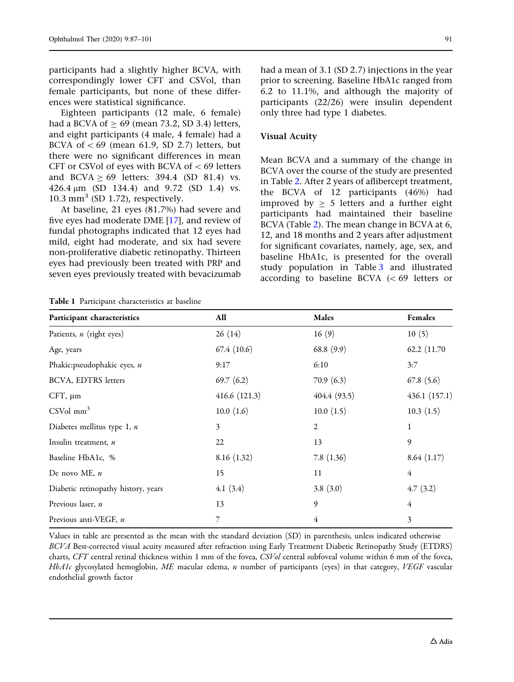<span id="page-4-0"></span>participants had a slightly higher BCVA, with correspondingly lower CFT and CSVol, than female participants, but none of these differences were statistical significance.

Eighteen participants (12 male, 6 female) had a BCVA of  $> 69$  (mean 73.2, SD 3.4) letters, and eight participants (4 male, 4 female) had a BCVA of  $<$  69 (mean 61.9, SD 2.7) letters, but there were no significant differences in mean CFT or CSVol of eyes with BCVA of  $<$  69 letters and BCVA  $\geq$  69 letters: 394.4 (SD 81.4) vs. 426.4 lm (SD 134.4) and 9.72 (SD 1.4) vs.  $10.3$  mm<sup>3</sup> (SD 1.72), respectively.

At baseline, 21 eyes (81.7%) had severe and five eyes had moderate DME [[17\]](#page-13-0), and review of fundal photographs indicated that 12 eyes had mild, eight had moderate, and six had severe non-proliferative diabetic retinopathy. Thirteen eyes had previously been treated with PRP and seven eyes previously treated with bevacizumab had a mean of 3.1 (SD 2.7) injections in the year prior to screening. Baseline HbA1c ranged from 6.2 to 11.1%, and although the majority of participants (22/26) were insulin dependent only three had type 1 diabetes.

#### Visual Acuity

Mean BCVA and a summary of the change in BCVA over the course of the study are presented in Table [2](#page-5-0). After 2 years of aflibercept treatment, the BCVA of 12 participants (46%) had improved by  $> 5$  letters and a further eight participants had maintained their baseline BCVA (Table [2\)](#page-5-0). The mean change in BCVA at 6, 12, and 18 months and 2 years after adjustment for significant covariates, namely, age, sex, and baseline HbA1c, is presented for the overall study population in Table [3](#page-7-0) and illustrated according to baseline BCVA  $(< 69$  letters or

Table 1 Participant characteristics at baseline

| Participant characteristics         | All            | <b>Males</b>   | Females        |  |
|-------------------------------------|----------------|----------------|----------------|--|
| Patients, <i>n</i> (right eyes)     | 26(14)         | 16(9)          | 10(5)          |  |
| Age, years                          | 67.4(10.6)     | 68.8(9.9)      | 62.2 (11.70)   |  |
| Phakic: pseudophakic eyes, n        | 9:17           | 6:10           | 3:7            |  |
| BCVA, EDTRS letters                 | 69.7 $(6.2)$   | 70.9(6.3)      | 67.8(5.6)      |  |
| $CFT$ , $\mu$ m                     | 416.6(121.3)   | 404.4(93.5)    | 436.1(157.1)   |  |
| $CSVol$ mm <sup>3</sup>             | 10.0(1.6)      | 10.0(1.5)      | 10.3(1.5)      |  |
| Diabetes mellitus type 1, n         | $\mathfrak{Z}$ | $\overline{2}$ | 1              |  |
| Insulin treatment, n                | 22             | 13             | 9              |  |
| Baseline HbA1c, %                   | 8.16(1.32)     | 7.8(1.36)      | 8.64(1.17)     |  |
| De novo ME, $n$                     | 15             | 11             | $\overline{4}$ |  |
| Diabetic retinopathy history, years | 4.1(3.4)       | 3.8(3.0)       | 4.7(3.2)       |  |
| Previous laser, n                   | 13             | 9              | 4              |  |
| Previous anti-VEGF, n               | 7              | 4              | 3              |  |

Values in table are presented as the mean with the standard deviation (SD) in parenthesis, unless indicated otherwise BCVA Best-corrected visual acuity measured after refraction using Early Treatment Diabetic Retinopathy Study (ETDRS) charts, CFT central retinal thickness within 1 mm of the fovea, CSVol central subfoveal volume within 6 mm of the fovea, HbA1c glycosylated hemoglobin, ME macular edema, n number of participants (eyes) in that category, VEGF vascular endothelial growth factor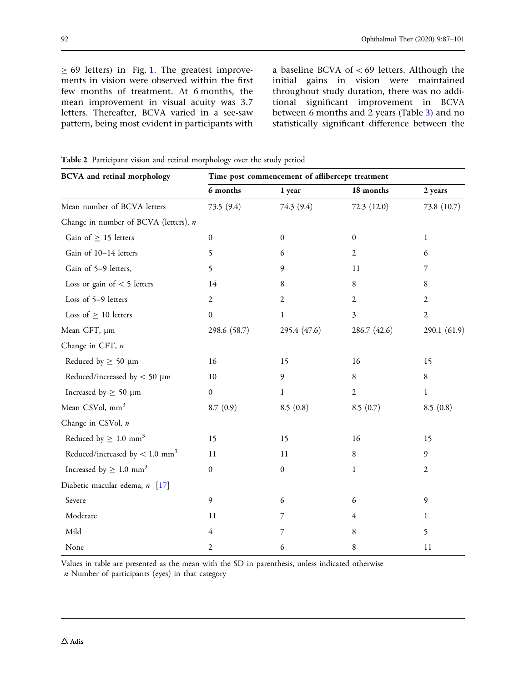<span id="page-5-0"></span> $\geq$  69 letters) in Fig. [1](#page-8-0). The greatest improvements in vision were observed within the first few months of treatment. At 6 months, the mean improvement in visual acuity was 3.7 letters. Thereafter, BCVA varied in a see-saw pattern, being most evident in participants with a baseline BCVA of  $<$  69 letters. Although the initial gains in vision were maintained throughout study duration, there was no additional significant improvement in BCVA between 6 months and 2 years (Table [3\)](#page-7-0) and no statistically significant difference between the

| <b>BCVA</b> and retinal morphology           | Time post commencement of affibercept treatment |                  |                  |                |  |
|----------------------------------------------|-------------------------------------------------|------------------|------------------|----------------|--|
|                                              | 6 months                                        | 1 year           | 18 months        | 2 years        |  |
| Mean number of BCVA letters                  | 73.5 (9.4)                                      | 74.3 (9.4)       | 72.3(12.0)       | 73.8 (10.7)    |  |
| Change in number of BCVA (letters), n        |                                                 |                  |                  |                |  |
| Gain of $\geq$ 15 letters                    | $\mathbf{0}$                                    | $\theta$         | $\boldsymbol{0}$ | $\mathbf{1}$   |  |
| Gain of 10-14 letters                        | 5                                               | 6                | $\mathfrak{2}$   | 6              |  |
| Gain of 5-9 letters,                         | 5                                               | 9                | 11               | 7              |  |
| Loss or gain of $<$ 5 letters                | 14                                              | 8                | 8                | 8              |  |
| Loss of 5-9 letters                          | $\overline{2}$                                  | $\mathfrak{2}$   | $\mathfrak{2}$   | 2              |  |
| Loss of $\geq 10$ letters                    | $\overline{0}$                                  | 1                | $\mathfrak{Z}$   | $\overline{2}$ |  |
| Mean CFT, µm                                 | 298.6 (58.7)                                    | 295.4 (47.6)     | 286.7 (42.6)     | 290.1 (61.9)   |  |
| Change in CFT, n                             |                                                 |                  |                  |                |  |
| Reduced by $\geq 50 \text{ }\mu\text{m}$     | $16$                                            | 15               | 16               | 15             |  |
| Reduced/increased by $<$ 50 $\mu$ m          | 10                                              | 9                | $\,8\,$          | $\,8\,$        |  |
| Increased by $\geq 50 \ \mu m$               | $\boldsymbol{0}$                                | 1                | $\sqrt{2}$       | 1              |  |
| Mean CSVol, mm <sup>3</sup>                  | 8.7(0.9)                                        | 8.5(0.8)         | 8.5(0.7)         | 8.5(0.8)       |  |
| Change in CSVol, n                           |                                                 |                  |                  |                |  |
| Reduced by $\geq 1.0$ mm <sup>3</sup>        | 15                                              | 15               | 16               | 15             |  |
| Reduced/increased by $< 1.0$ mm <sup>3</sup> | 11                                              | 11               | $\,8\,$          | 9              |  |
| Increased by $\geq 1.0$ mm <sup>3</sup>      | $\boldsymbol{0}$                                | $\boldsymbol{0}$ | $\mathbf{1}$     | $\overline{2}$ |  |
| Diabetic macular edema, n [17]               |                                                 |                  |                  |                |  |
| Severe                                       | 9                                               | 6                | 6                | 9              |  |
| Moderate                                     | 11                                              | 7                | 4                | 1              |  |
| Mild                                         | $\overline{4}$                                  | 7                | 8                | 5              |  |
| None                                         | 2                                               | 6                | 8                | 11             |  |

Table 2 Participant vision and retinal morphology over the study period

Values in table are presented as the mean with the SD in parenthesis, unless indicated otherwise

 $n$  Number of participants (eyes) in that category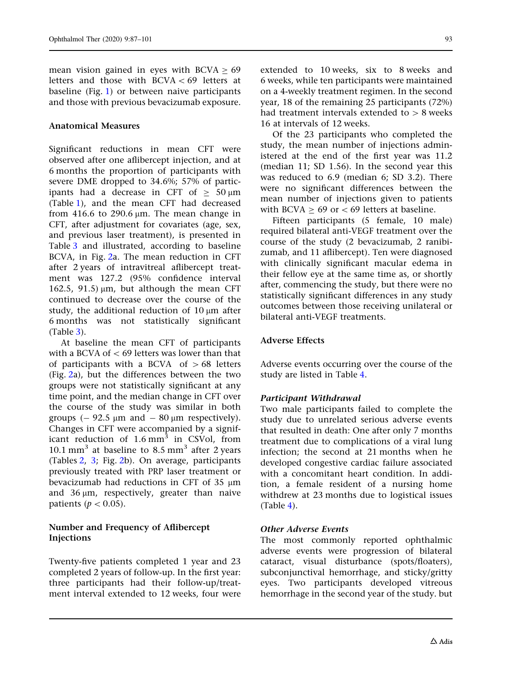mean vision gained in eyes with  $BCVA > 69$ letters and those with  $BCVA < 69$  letters at baseline (Fig. [1\)](#page-8-0) or between naive participants and those with previous bevacizumab exposure.

#### Anatomical Measures

Significant reductions in mean CFT were observed after one aflibercept injection, and at 6 months the proportion of participants with severe DME dropped to 34.6%; 57% of participants had a decrease in CFT of  $\geq 50 \,\mu m$ (Table [1\)](#page-4-0), and the mean CFT had decreased from 416.6 to 290.6  $\mu$ m. The mean change in CFT, after adjustment for covariates (age, sex, and previous laser treatment), is presented in Table [3](#page-7-0) and illustrated, according to baseline BCVA, in Fig. [2a](#page-10-0). The mean reduction in CFT after 2 years of intravitreal aflibercept treatment was 127.2 (95% confidence interval 162.5, 91.5)  $\mu$ m, but although the mean CFT continued to decrease over the course of the study, the additional reduction of  $10 \mu m$  after 6 months was not statistically significant (Table [3\)](#page-7-0).

At baseline the mean CFT of participants with a BCVA of  $<$  69 letters was lower than that of participants with a BCVA of  $> 68$  letters (Fig. [2](#page-10-0)a), but the differences between the two groups were not statistically significant at any time point, and the median change in CFT over the course of the study was similar in both groups  $(-92.5 \mu m \text{ and } -80 \mu m \text{ respectively}).$ Changes in CFT were accompanied by a significant reduction of  $1.6 \text{ mm}^3$  in CSVol, from 10.1 mm<sup>3</sup> at baseline to  $8.5$  mm<sup>3</sup> after 2 years (Tables [2,](#page-5-0) [3](#page-7-0); Fig. [2](#page-10-0)b). On average, participants previously treated with PRP laser treatment or bevacizumab had reductions in CFT of 35  $\mu$ m and  $36 \mu m$ , respectively, greater than naive patients ( $p < 0.05$ ).

### Number and Frequency of Aflibercept Injections

Twenty-five patients completed 1 year and 23 completed 2 years of follow-up. In the first year: three participants had their follow-up/treatment interval extended to 12 weeks, four were

extended to 10 weeks, six to 8 weeks and 6 weeks, while ten participants were maintained on a 4-weekly treatment regimen. In the second year, 18 of the remaining 25 participants (72%) had treatment intervals extended to  $> 8$  weeks 16 at intervals of 12 weeks.

Of the 23 participants who completed the study, the mean number of injections administered at the end of the first year was 11.2 (median 11; SD 1.56). In the second year this was reduced to 6.9 (median 6; SD 3.2). There were no significant differences between the mean number of injections given to patients with BCVA  $> 69$  or  $< 69$  letters at baseline.

Fifteen participants (5 female, 10 male) required bilateral anti-VEGF treatment over the course of the study (2 bevacizumab, 2 ranibizumab, and 11 aflibercept). Ten were diagnosed with clinically significant macular edema in their fellow eye at the same time as, or shortly after, commencing the study, but there were no statistically significant differences in any study outcomes between those receiving unilateral or bilateral anti-VEGF treatments.

### Adverse Effects

Adverse events occurring over the course of the study are listed in Table [4.](#page-10-0)

### Participant Withdrawal

Two male participants failed to complete the study due to unrelated serious adverse events that resulted in death: One after only 7 months treatment due to complications of a viral lung infection; the second at 21 months when he developed congestive cardiac failure associated with a concomitant heart condition. In addition, a female resident of a nursing home withdrew at 23 months due to logistical issues (Table [4\)](#page-10-0).

#### Other Adverse Events

The most commonly reported ophthalmic adverse events were progression of bilateral cataract, visual disturbance (spots/floaters), subconjunctival hemorrhage, and sticky/gritty eyes. Two participants developed vitreous hemorrhage in the second year of the study. but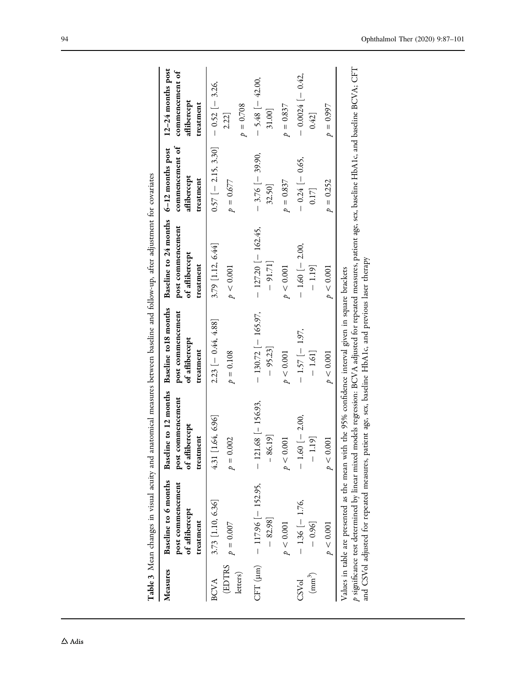<span id="page-7-0"></span>

|                            |                                                                          | THE POST PART CONTROL CONTROL CONTROL CONTROL CONTROL CONTROL CONTROL CONTROL CONTROL CONTROL CONTROL CONTROL CONTROL CONTROL CONTROL CONTROL CONTROL CONTROL CONTROL CONTROL CONTROL CONTROL CONTROL CONTROL CONTROL CONTROL                                                                                                                                                    |                                                  |                                                                                            |                                                |                                                                  |
|----------------------------|--------------------------------------------------------------------------|----------------------------------------------------------------------------------------------------------------------------------------------------------------------------------------------------------------------------------------------------------------------------------------------------------------------------------------------------------------------------------|--------------------------------------------------|--------------------------------------------------------------------------------------------|------------------------------------------------|------------------------------------------------------------------|
| Measures                   | Baseline to 6 months<br>post commencement<br>of aflibercept<br>treatment | Baseline to 12 months Baseline to18 months<br>post commencement<br>of aflibercept<br>treatment                                                                                                                                                                                                                                                                                   | post commencement<br>of aflibercept<br>treatment | Baseline to 24 months 6-12 months post<br>post commencement<br>of aflibercept<br>treatment | commencement of<br>aflibercept<br>treatment    | 12-24 months post<br>commencement of<br>aflibercept<br>treatment |
| (EDTRS<br>letters)<br>BCVA | 3.73 [1.10, 6.36]<br>$p = 0.007$                                         | 4.31 [1.64, 6.96]<br>$p = 0.002$                                                                                                                                                                                                                                                                                                                                                 | $2.23[-0.44, 4.88]$<br>$p = 0.108$               | 3.79 [1.12, 6.44]<br>p < 0.001                                                             | $0.57$ [-2.15, 3.30]<br>$p = 0.677$            | $-0.52$ [-3.26,<br>$p = 0.708$<br>2.22                           |
|                            | CFT (µm) $-117.96$ [-152.95,<br>$-82.98$ ]<br>p < 0.001                  | $- 121.68$ [-156.93,<br>$-86.19$ ]<br>p < 0.001                                                                                                                                                                                                                                                                                                                                  | $-130.72$ [-165.97,<br>$-95.23$<br>p < 0.001     | $-127.20$   $-162.45$ ,<br>$-91.71$<br>p < 0.001                                           | $-3.76$ [-39.90,<br>$p = 0.837$<br>32.50       | $-5.48$ $-42.00$ ,<br>$p = 0.837$<br>31.00]                      |
| $(mm^3)$<br>CSVol          | $-1.36[-1.76,$<br>$-0.96$<br>p < 0.001                                   | $-1.60$ $-2.00$ ,<br>$1.19$ ]<br>p < 0.001<br>$\overline{\phantom{a}}$                                                                                                                                                                                                                                                                                                           | $-1.57$ [ $-1.97$ ,<br>$-1.61$<br>p < 0.001      | $-1.60$ $-2.00$ ,<br>$-1.19$ ]<br>p < 0.001                                                | $-0.24$ [ $-0.65$ ,<br>$p = 0.252$<br>$0.17$ ] | $-0.0024$ $[- 0.42,$<br>$p = 0.997$<br>0.42                      |
|                            |                                                                          | p significance test determined by linear mixed models regression: BCVA adjusted for repeated measures, patient age, sex, baseline HbA1c, and baseline BCVA; CFT<br>and CSVol adjusted for repeated measures, patient age, sex, baseline HbA1c, and previous laser therapy<br>Values in table are presented as the mean with the 95% confidence interval given in square brackets |                                                  |                                                                                            |                                                |                                                                  |

covariates Table 3 Mean changes in visual acuity and anatomical measures between baseline and follow-up, after adjustment for covariates een baseline and follow-un after adjustment for  $\frac{1}{2}$ Table 3. Mean changes in visual acuity and anatomical mea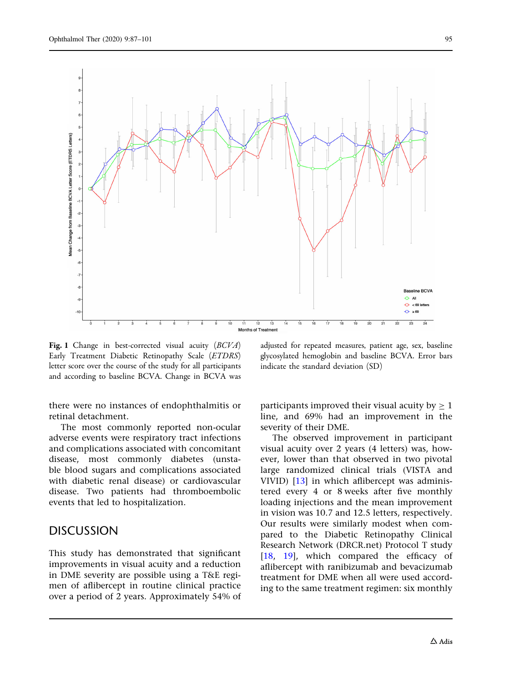<span id="page-8-0"></span>

Fig. 1 Change in best-corrected visual acuity (BCVA) Early Treatment Diabetic Retinopathy Scale (ETDRS) letter score over the course of the study for all participants and according to baseline BCVA. Change in BCVA was

there were no instances of endophthalmitis or retinal detachment.

The most commonly reported non-ocular adverse events were respiratory tract infections and complications associated with concomitant disease, most commonly diabetes (unstable blood sugars and complications associated with diabetic renal disease) or cardiovascular disease. Two patients had thromboembolic events that led to hospitalization.

### **DISCUSSION**

This study has demonstrated that significant improvements in visual acuity and a reduction in DME severity are possible using a T&E regimen of aflibercept in routine clinical practice over a period of 2 years. Approximately 54% of adjusted for repeated measures, patient age, sex, baseline glycosylated hemoglobin and baseline BCVA. Error bars indicate the standard deviation (SD)

participants improved their visual acuity by  $\geq 1$ line, and 69% had an improvement in the severity of their DME.

The observed improvement in participant visual acuity over 2 years (4 letters) was, however, lower than that observed in two pivotal large randomized clinical trials (VISTA and VIVID) [\[13\]](#page-13-0) in which aflibercept was administered every 4 or 8 weeks after five monthly loading injections and the mean improvement in vision was 10.7 and 12.5 letters, respectively. Our results were similarly modest when compared to the Diabetic Retinopathy Clinical Research Network (DRCR.net) Protocol T study [\[18,](#page-13-0) [19\]](#page-13-0), which compared the efficacy of aflibercept with ranibizumab and bevacizumab treatment for DME when all were used according to the same treatment regimen: six monthly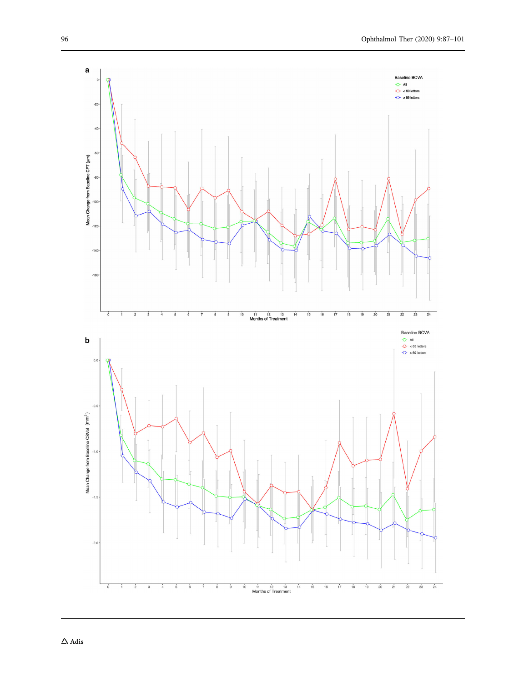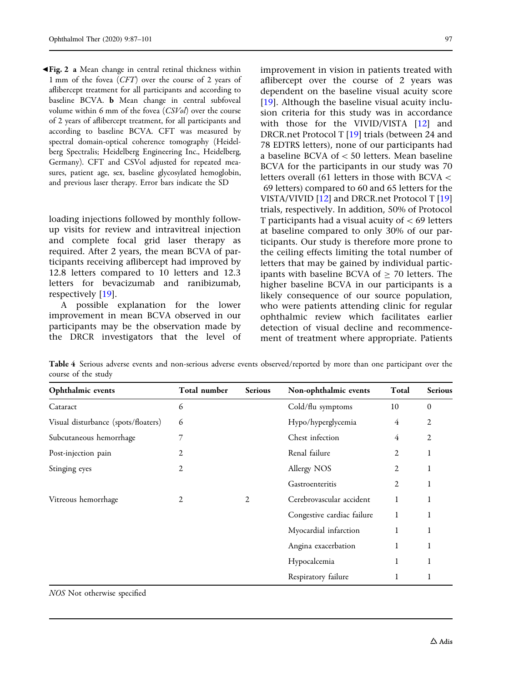<span id="page-10-0"></span>b Fig. 2 a Mean change in central retinal thickness within 1 mm of the fovea (CFT) over the course of 2 years of aflibercept treatment for all participants and according to baseline BCVA. b Mean change in central subfoveal volume within 6 mm of the fovea (CSVol) over the course of 2 years of aflibercept treatment, for all participants and according to baseline BCVA. CFT was measured by spectral domain-optical coherence tomography (Heidelberg Spectralis; Heidelberg Engineering Inc., Heidelberg, Germany). CFT and CSVol adjusted for repeated measures, patient age, sex, baseline glycosylated hemoglobin, and previous laser therapy. Error bars indicate the SD

loading injections followed by monthly followup visits for review and intravitreal injection and complete focal grid laser therapy as required. After 2 years, the mean BCVA of participants receiving aflibercept had improved by 12.8 letters compared to 10 letters and 12.3 letters for bevacizumab and ranibizumab, respectively [\[19\]](#page-13-0).

A possible explanation for the lower improvement in mean BCVA observed in our participants may be the observation made by the DRCR investigators that the level of improvement in vision in patients treated with aflibercept over the course of 2 years was dependent on the baseline visual acuity score [\[19\]](#page-13-0). Although the baseline visual acuity inclusion criteria for this study was in accordance with those for the VIVID/VISTA [[12](#page-13-0)] and DRCR.net Protocol T [\[19\]](#page-13-0) trials (between 24 and 78 EDTRS letters), none of our participants had a baseline BCVA of  $<$  50 letters. Mean baseline BCVA for the participants in our study was 70 letters overall (61 letters in those with BCVA  $\lt$ 69 letters) compared to 60 and 65 letters for the VISTA/VIVID [[12](#page-13-0)] and DRCR.net Protocol T [[19](#page-13-0)] trials, respectively. In addition, 50% of Protocol T participants had a visual acuity of  $\lt 69$  letters at baseline compared to only 30% of our participants. Our study is therefore more prone to the ceiling effects limiting the total number of letters that may be gained by individual participants with baseline BCVA of  $\geq$  70 letters. The higher baseline BCVA in our participants is a likely consequence of our source population, who were patients attending clinic for regular ophthalmic review which facilitates earlier

detection of visual decline and recommencement of treatment where appropriate. Patients

Table 4 Serious adverse events and non-serious adverse events observed/reported by more than one participant over the course of the study

| Ophthalmic events                   | Total number   | <b>Serious</b> | Non-ophthalmic events      | Total          | Serious          |
|-------------------------------------|----------------|----------------|----------------------------|----------------|------------------|
| Cataract                            | 6              |                | Cold/flu symptoms          | 10             | $\boldsymbol{0}$ |
| Visual disturbance (spots/floaters) | 6              |                | Hypo/hyperglycemia         | 4              | $\overline{2}$   |
| Subcutaneous hemorrhage             | 7              |                | Chest infection            | 4              | $\overline{2}$   |
| Post-injection pain                 | $\overline{2}$ |                | Renal failure              | $\overline{2}$ | 1                |
| Stinging eyes                       | $\overline{2}$ |                | Allergy NOS                | $\overline{2}$ | 1                |
|                                     |                |                | Gastroenteritis            | 2              | 1                |
| Vitreous hemorrhage                 | 2              | 2              | Cerebrovascular accident   | 1              |                  |
|                                     |                |                | Congestive cardiac failure | 1              | 1                |
|                                     |                |                | Myocardial infarction      | 1              | 1                |
|                                     |                |                | Angina exacerbation        | 1              | 1                |
|                                     |                |                | Hypocalcemia               | 1              | 1                |
|                                     |                |                | Respiratory failure        | 1              | 1                |

NOS Not otherwise specified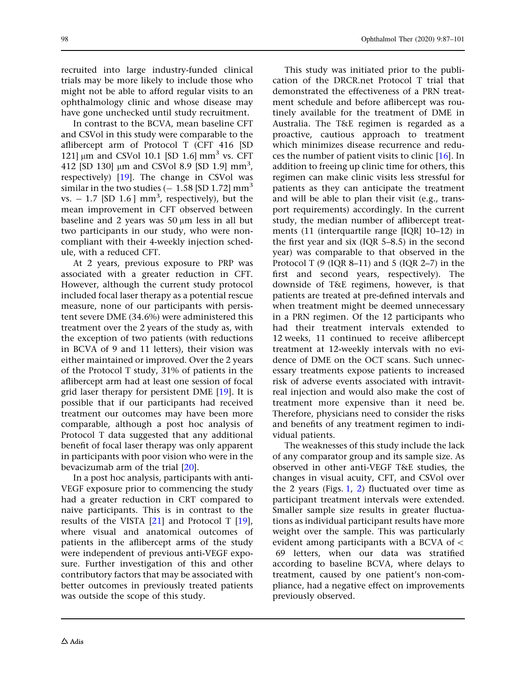recruited into large industry-funded clinical trials may be more likely to include those who might not be able to afford regular visits to an ophthalmology clinic and whose disease may have gone unchecked until study recruitment.

In contrast to the BCVA, mean baseline CFT and CSVol in this study were comparable to the aflibercept arm of Protocol T (CFT 416 [SD 121]  $\mu$ m and CSVol 10.1 [SD 1.6]  $\text{mm}^3$  vs. CFT 412 [SD 130] μm and CSVol 8.9 [SD 1.9] mm<sup>3</sup>, respectively) [[19](#page-13-0)]. The change in CSVol was similar in the two studies  $(-1.58$  [SD 1.72]  $mm<sup>3</sup>$ vs.  $-1.7$  [SD 1.6] mm<sup>3</sup>, respectively), but the mean improvement in CFT observed between baseline and 2 years was  $50 \mu m$  less in all but two participants in our study, who were noncompliant with their 4-weekly injection schedule, with a reduced CFT.

At 2 years, previous exposure to PRP was associated with a greater reduction in CFT. However, although the current study protocol included focal laser therapy as a potential rescue measure, none of our participants with persistent severe DME (34.6%) were administered this treatment over the 2 years of the study as, with the exception of two patients (with reductions in BCVA of 9 and 11 letters), their vision was either maintained or improved. Over the 2 years of the Protocol T study, 31% of patients in the aflibercept arm had at least one session of focal grid laser therapy for persistent DME [[19](#page-13-0)]. It is possible that if our participants had received treatment our outcomes may have been more comparable, although a post hoc analysis of Protocol T data suggested that any additional benefit of focal laser therapy was only apparent in participants with poor vision who were in the bevacizumab arm of the trial [\[20\]](#page-13-0).

In a post hoc analysis, participants with anti-VEGF exposure prior to commencing the study had a greater reduction in CRT compared to naive participants. This is in contrast to the results of the VISTA  $[21]$  and Protocol T  $[19]$  $[19]$  $[19]$ , where visual and anatomical outcomes of patients in the aflibercept arms of the study were independent of previous anti-VEGF exposure. Further investigation of this and other contributory factors that may be associated with better outcomes in previously treated patients was outside the scope of this study.

This study was initiated prior to the publication of the DRCR.net Protocol T trial that demonstrated the effectiveness of a PRN treatment schedule and before aflibercept was routinely available for the treatment of DME in Australia. The T&E regimen is regarded as a proactive, cautious approach to treatment which minimizes disease recurrence and reduces the number of patient visits to clinic [\[16\]](#page-13-0). In addition to freeing up clinic time for others, this regimen can make clinic visits less stressful for patients as they can anticipate the treatment and will be able to plan their visit (e.g., transport requirements) accordingly. In the current study, the median number of aflibercept treatments (11 (interquartile range [IQR] 10–12) in the first year and six (IQR 5–8.5) in the second year) was comparable to that observed in the Protocol T  $(9 (IQR 8-11)$  and 5  $(IQR 2-7)$  in the first and second years, respectively). The downside of T&E regimens, however, is that patients are treated at pre-defined intervals and when treatment might be deemed unnecessary in a PRN regimen. Of the 12 participants who had their treatment intervals extended to 12 weeks, 11 continued to receive aflibercept treatment at 12-weekly intervals with no evidence of DME on the OCT scans. Such unnecessary treatments expose patients to increased risk of adverse events associated with intravitreal injection and would also make the cost of treatment more expensive than it need be. Therefore, physicians need to consider the risks and benefits of any treatment regimen to individual patients.

The weaknesses of this study include the lack of any comparator group and its sample size. As observed in other anti-VEGF T&E studies, the changes in visual acuity, CFT, and CSVol over the [2](#page-10-0) years (Figs.  $1, 2$  $1, 2$ ) fluctuated over time as participant treatment intervals were extended. Smaller sample size results in greater fluctuations as individual participant results have more weight over the sample. This was particularly evident among participants with a BCVA of  $\lt$ 69 letters, when our data was stratified according to baseline BCVA, where delays to treatment, caused by one patient's non-compliance, had a negative effect on improvements previously observed.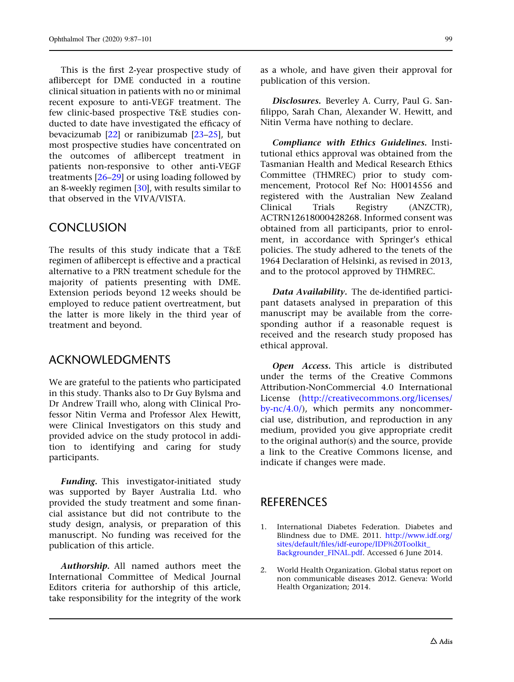<span id="page-12-0"></span>This is the first 2-year prospective study of aflibercept for DME conducted in a routine clinical situation in patients with no or minimal recent exposure to anti-VEGF treatment. The few clinic-based prospective T&E studies conducted to date have investigated the efficacy of bevacizumab [\[22\]](#page-13-0) or ranibizumab [[23](#page-13-0)[–25\]](#page-14-0), but most prospective studies have concentrated on the outcomes of aflibercept treatment in patients non-responsive to other anti-VEGF treatments [[26–29\]](#page-14-0) or using loading followed by an 8-weekly regimen [[30](#page-14-0)], with results similar to that observed in the VIVA/VISTA.

### **CONCLUSION**

The results of this study indicate that a T&E regimen of aflibercept is effective and a practical alternative to a PRN treatment schedule for the majority of patients presenting with DME. Extension periods beyond 12 weeks should be employed to reduce patient overtreatment, but the latter is more likely in the third year of treatment and beyond.

### ACKNOWLEDGMENTS

We are grateful to the patients who participated in this study. Thanks also to Dr Guy Bylsma and Dr Andrew Traill who, along with Clinical Professor Nitin Verma and Professor Alex Hewitt, were Clinical Investigators on this study and provided advice on the study protocol in addition to identifying and caring for study participants.

Funding. This investigator-initiated study was supported by Bayer Australia Ltd. who provided the study treatment and some financial assistance but did not contribute to the study design, analysis, or preparation of this manuscript. No funding was received for the publication of this article.

Authorship. All named authors meet the International Committee of Medical Journal Editors criteria for authorship of this article, take responsibility for the integrity of the work as a whole, and have given their approval for publication of this version.

Disclosures. Beverley A. Curry, Paul G. Sanfilippo, Sarah Chan, Alexander W. Hewitt, and Nitin Verma have nothing to declare.

Compliance with Ethics Guidelines. Institutional ethics approval was obtained from the Tasmanian Health and Medical Research Ethics Committee (THMREC) prior to study commencement, Protocol Ref No: H0014556 and registered with the Australian New Zealand Clinical Trials Registry (ANZCTR), ACTRN12618000428268. Informed consent was obtained from all participants, prior to enrolment, in accordance with Springer's ethical policies. The study adhered to the tenets of the 1964 Declaration of Helsinki, as revised in 2013, and to the protocol approved by THMREC.

Data Availability. The de-identified participant datasets analysed in preparation of this manuscript may be available from the corresponding author if a reasonable request is received and the research study proposed has ethical approval.

Open Access. This article is distributed under the terms of the Creative Commons Attribution-NonCommercial 4.0 International License ([http://creativecommons.org/licenses/](http://creativecommons.org/licenses/by-nc/4.0/) [by-nc/4.0/](http://creativecommons.org/licenses/by-nc/4.0/)), which permits any noncommercial use, distribution, and reproduction in any medium, provided you give appropriate credit to the original author(s) and the source, provide a link to the Creative Commons license, and indicate if changes were made.

# **REFERENCES**

- 1. International Diabetes Federation. Diabetes and Blindness due to DME. 2011. [http://www.idf.org/](http://www.idf.org/sites/default/files/idf-europe/IDF%20Toolkit_Backgrounder_FINAL.pdf) [sites/default/files/idf-europe/IDF%20Toolkit\\_](http://www.idf.org/sites/default/files/idf-europe/IDF%20Toolkit_Backgrounder_FINAL.pdf) [Backgrounder\\_FINAL.pdf](http://www.idf.org/sites/default/files/idf-europe/IDF%20Toolkit_Backgrounder_FINAL.pdf). Accessed 6 June 2014.
- 2. World Health Organization. Global status report on non communicable diseases 2012. Geneva: World Health Organization; 2014.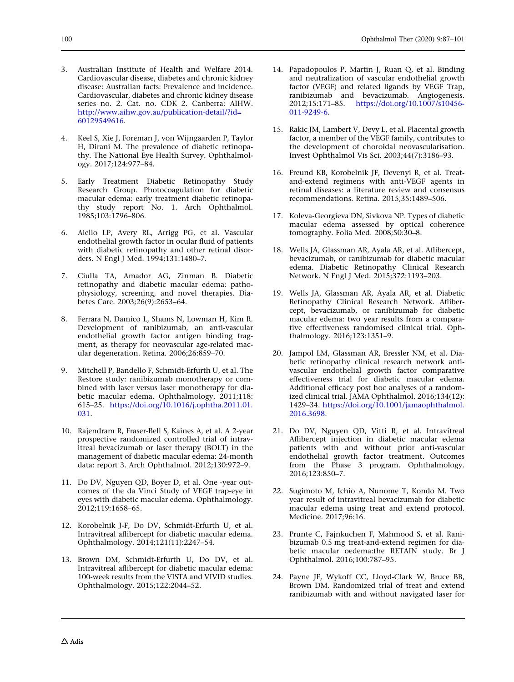- <span id="page-13-0"></span>3. Australian Institute of Health and Welfare 2014. Cardiovascular disease, diabetes and chronic kidney disease: Australian facts: Prevalence and incidence. Cardiovascular, diabetes and chronic kidney disease series no. 2. Cat. no. CDK 2. Canberra: AIHW. [http://www.aihw.gov.au/publication-detail/?id=](http://www.aihw.gov.au/publication-detail/%3fid%3d60129549616) [60129549616](http://www.aihw.gov.au/publication-detail/%3fid%3d60129549616).
- 4. Keel S, Xie J, Foreman J, von Wijngaarden P, Taylor H, Dirani M. The prevalence of diabetic retinopathy. The National Eye Health Survey. Ophthalmology. 2017;124:977–84.
- 5. Early Treatment Diabetic Retinopathy Study Research Group. Photocoagulation for diabetic macular edema: early treatment diabetic retinopathy study report No. 1. Arch Ophthalmol. 1985;103:1796–806.
- 6. Aiello LP, Avery RL, Arrigg PG, et al. Vascular endothelial growth factor in ocular fluid of patients with diabetic retinopathy and other retinal disorders. N Engl J Med. 1994;131:1480–7.
- 7. Ciulla TA, Amador AG, Zinman B. Diabetic retinopathy and diabetic macular edema: pathophysiology, screening, and novel therapies. Diabetes Care. 2003;26(9):2653–64.
- 8. Ferrara N, Damico L, Shams N, Lowman H, Kim R. Development of ranibizumab, an anti-vascular endothelial growth factor antigen binding fragment, as therapy for neovascular age-related macular degeneration. Retina. 2006;26:859–70.
- 9. Mitchell P, Bandello F, Schmidt-Erfurth U, et al. The Restore study: ranibizumab monotherapy or combined with laser versus laser monotherapy for diabetic macular edema. Ophthalmology. 2011;118: 615–25. [https://doi.org/10.1016/j.ophtha.2011.01.](https://doi.org/10.1016/j.ophtha.2011.01.031) [031.](https://doi.org/10.1016/j.ophtha.2011.01.031)
- 10. Rajendram R, Fraser-Bell S, Kaines A, et al. A 2-year prospective randomized controlled trial of intravitreal bevacizumab or laser therapy (BOLT) in the management of diabetic macular edema: 24-month data: report 3. Arch Ophthalmol. 2012;130:972–9.
- 11. Do DV, Nguyen QD, Boyer D, et al. One -year outcomes of the da Vinci Study of VEGF trap-eye in eyes with diabetic macular edema. Ophthalmology. 2012;119:1658–65.
- 12. Korobelnik J-F, Do DV, Schmidt-Erfurth U, et al. Intravitreal aflibercept for diabetic macular edema. Ophthalmology. 2014;121(11):2247–54.
- 13. Brown DM, Schmidt-Erfurth U, Do DV, et al. Intravitreal aflibercept for diabetic macular edema: 100-week results from the VISTA and VIVID studies. Ophthalmology. 2015;122:2044–52.
- 14. Papadopoulos P, Martin J, Ruan Q, et al. Binding and neutralization of vascular endothelial growth factor (VEGF) and related ligands by VEGF Trap, ranibizumab and bevacizumab. Angiogenesis. 2012;15:171–85. [https://doi.org/10.1007/s10456-](https://doi.org/10.1007/s10456-011-9249-6) [011-9249-6.](https://doi.org/10.1007/s10456-011-9249-6)
- 15. Rakic JM, Lambert V, Devy L, et al. Placental growth factor, a member of the VEGF family, contributes to the development of choroidal neovascularisation. Invest Ophthalmol Vis Sci. 2003;44(7):3186–93.
- 16. Freund KB, Korobelnik JF, Devenyi R, et al. Treatand-extend regimens with anti-VEGF agents in retinal diseases: a literature review and consensus recommendations. Retina. 2015;35:1489–506.
- 17. Koleva-Georgieva DN, Sivkova NP. Types of diabetic macular edema assessed by optical coherence tomography. Folia Med. 2008;50:30–8.
- 18. Wells JA, Glassman AR, Ayala AR, et al. Aflibercept, bevacizumab, or ranibizumab for diabetic macular edema. Diabetic Retinopathy Clinical Research Network. N Engl J Med. 2015;372:1193–203.
- 19. Wells JA, Glassman AR, Ayala AR, et al. Diabetic Retinopathy Clinical Research Network. Aflibercept, bevacizumab, or ranibizumab for diabetic macular edema: two year results from a comparative effectiveness randomised clinical trial. Ophthalmology. 2016;123:1351–9.
- 20. Jampol LM, Glassman AR, Bressler NM, et al. Diabetic retinopathy clinical research network antivascular endothelial growth factor comparative effectiveness trial for diabetic macular edema. Additional efficacy post hoc analyses of a randomized clinical trial. JAMA Ophthalmol. 2016;134(12): 1429–34. [https://doi.org/10.1001/jamaophthalmol.](https://doi.org/10.1001/jamaophthalmol.2016.3698) [2016.3698.](https://doi.org/10.1001/jamaophthalmol.2016.3698)
- 21. Do DV, Nguyen QD, Vitti R, et al. Intravitreal Aflibercept injection in diabetic macular edema patients with and without prior anti-vascular endothelial growth factor treatment. Outcomes from the Phase 3 program. Ophthalmology. 2016;123:850–7.
- 22. Sugimoto M, Ichio A, Nunome T, Kondo M. Two year result of intravitreal bevacizumab for diabetic macular edema using treat and extend protocol. Medicine. 2017;96:16.
- 23. Prunte C, Fajnkuchen F, Mahmood S, et al. Ranibizumab 0.5 mg treat-and-extend regimen for diabetic macular oedema:the RETAIN study. Br J Ophthalmol. 2016;100:787–95.
- 24. Payne JF, Wykoff CC, Lloyd-Clark W, Bruce BB, Brown DM. Randomized trial of treat and extend ranibizumab with and without navigated laser for